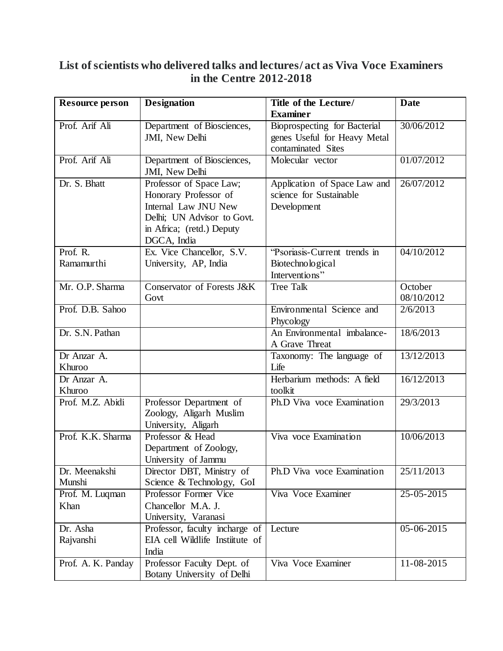## **List of scientists who delivered talks and lectures/ act as Viva Voce Examiners in the Centre 2012-2018**

| <b>Resource person</b>  | <b>Designation</b>                                                                                                                                 | Title of the Lecture/<br><b>Examiner</b>                               | Date                  |
|-------------------------|----------------------------------------------------------------------------------------------------------------------------------------------------|------------------------------------------------------------------------|-----------------------|
| Prof. Arif Ali          | Department of Biosciences,                                                                                                                         | Bioprospecting for Bacterial                                           | 30/06/2012            |
|                         | JMI, New Delhi                                                                                                                                     | genes Useful for Heavy Metal<br>contaminated Sites                     |                       |
| Prof. Arif Ali          | Department of Biosciences,<br>JMI, New Delhi                                                                                                       | Molecular vector                                                       | 01/07/2012            |
| Dr. S. Bhatt            | Professor of Space Law;<br>Honorary Professor of<br>Internal Law JNU New<br>Delhi; UN Advisor to Govt.<br>in Africa; (retd.) Deputy<br>DGCA, India | Application of Space Law and<br>science for Sustainable<br>Development | 26/07/2012            |
| Prof. R.<br>Ramamurthi  | Ex. Vice Chancellor, S.V.<br>University, AP, India                                                                                                 | 'Psoriasis-Current trends in<br>Biotechnological<br>Interventions"     | 04/10/2012            |
| Mr. O.P. Sharma         | Conservator of Forests J&K<br>Govt                                                                                                                 | <b>Tree Talk</b>                                                       | October<br>08/10/2012 |
| Prof. D.B. Sahoo        |                                                                                                                                                    | Environmental Science and<br>Phycology                                 | 2/6/2013              |
| Dr. S.N. Pathan         |                                                                                                                                                    | An Environmental imbalance-<br>A Grave Threat                          | 18/6/2013             |
| Dr Anzar A.<br>Khuroo   |                                                                                                                                                    | Taxonomy: The language of<br>Life                                      | 13/12/2013            |
| Dr Anzar A.<br>Khuroo   |                                                                                                                                                    | Herbarium methods: A field<br>toolkit                                  | 16/12/2013            |
| Prof. M.Z. Abidi        | Professor Department of<br>Zoology, Aligarh Muslim<br>University, Aligarh                                                                          | Ph.D Viva voce Examination                                             | 29/3/2013             |
| Prof. K.K. Sharma       | Professor & Head<br>Department of Zoology,<br>University of Jammu                                                                                  | Viva voce Examination                                                  | 10/06/2013            |
| Dr. Meenakshi<br>Munshi | Director DBT, Ministry of<br>Science & Technology, GoI                                                                                             | Ph.D Viva voce Examination                                             | 25/11/2013            |
| Prof. M. Luqman<br>Khan | Professor Former Vice<br>Chancellor M.A. J.<br>University, Varanasi                                                                                | Viva Voce Examiner                                                     | 25-05-2015            |
| Dr. Asha<br>Rajvanshi   | Professor, faculty incharge of<br>EIA cell Wildlife Instiitute of<br>India                                                                         | Lecture                                                                | 05-06-2015            |
| Prof. A. K. Panday      | Professor Faculty Dept. of<br>Botany University of Delhi                                                                                           | Viva Voce Examiner                                                     | 11-08-2015            |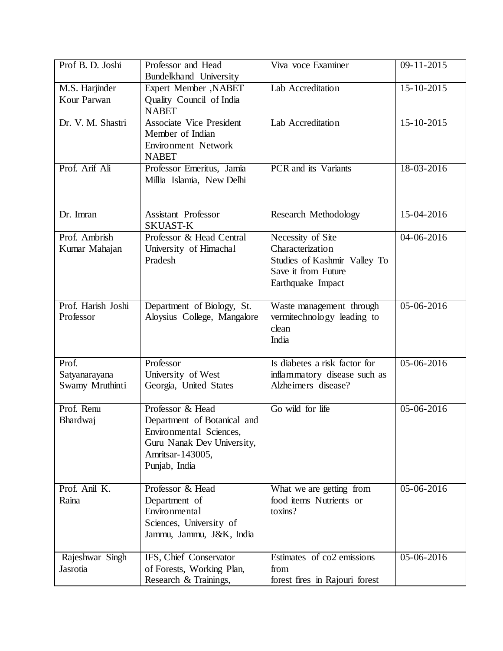| Prof B. D. Joshi   | Professor and Head                              | Viva voce Examiner             | 09-11-2015   |
|--------------------|-------------------------------------------------|--------------------------------|--------------|
| M.S. Harjinder     | Bundelkhand University<br>Expert Member , NABET | Lab Accreditation              | 15-10-2015   |
| Kour Parwan        | Quality Council of India                        |                                |              |
|                    | <b>NABET</b>                                    |                                |              |
| Dr. V. M. Shastri  | <b>Associate Vice President</b>                 | Lab Accreditation              | 15-10-2015   |
|                    | Member of Indian                                |                                |              |
|                    | Environment Network                             |                                |              |
|                    | <b>NABET</b>                                    |                                |              |
| Prof. Arif Ali     | Professor Emeritus, Jamia                       | PCR and its Variants           | $18-03-2016$ |
|                    | Millia Islamia, New Delhi                       |                                |              |
|                    |                                                 |                                |              |
| Dr. Imran          | <b>Assistant Professor</b>                      | Research Methodology           | 15-04-2016   |
|                    | <b>SKUAST-K</b>                                 |                                |              |
| Prof. Ambrish      | Professor & Head Central                        | Necessity of Site              | 04-06-2016   |
| Kumar Mahajan      | University of Himachal                          | Characterization               |              |
|                    | Pradesh                                         | Studies of Kashmir Valley To   |              |
|                    |                                                 | Save it from Future            |              |
|                    |                                                 | Earthquake Impact              |              |
|                    |                                                 |                                |              |
| Prof. Harish Joshi | Department of Biology, St.                      | Waste management through       | 05-06-2016   |
| Professor          | Aloysius College, Mangalore                     | vermitechnology leading to     |              |
|                    |                                                 | clean                          |              |
|                    |                                                 | India                          |              |
| Prof.              | Professor                                       | Is diabetes a risk factor for  | 05-06-2016   |
| Satyanarayana      | University of West                              | inflammatory disease such as   |              |
| Swamy Mruthinti    | Georgia, United States                          | Alzheimers disease?            |              |
|                    |                                                 |                                |              |
| Prof. Renu         | Professor & Head                                | Go wild for life               | 05-06-2016   |
| Bhardwaj           | Department of Botanical and                     |                                |              |
|                    | Environmental Sciences,                         |                                |              |
|                    | Guru Nanak Dev University,                      |                                |              |
|                    | Amritsar-143005,                                |                                |              |
|                    | Punjab, India                                   |                                |              |
| Prof. Anil K.      | Professor & Head                                | What we are getting from       | 05-06-2016   |
| Raina              | Department of                                   | food items Nutrients or        |              |
|                    | Environmental                                   | toxins?                        |              |
|                    | Sciences, University of                         |                                |              |
|                    | Jammu, Jammu, J&K, India                        |                                |              |
|                    |                                                 |                                |              |
| Rajeshwar Singh    | IFS, Chief Conservator                          | Estimates of co2 emissions     | 05-06-2016   |
| Jasrotia           | of Forests, Working Plan,                       | from                           |              |
|                    | Research & Trainings,                           | forest fires in Rajouri forest |              |